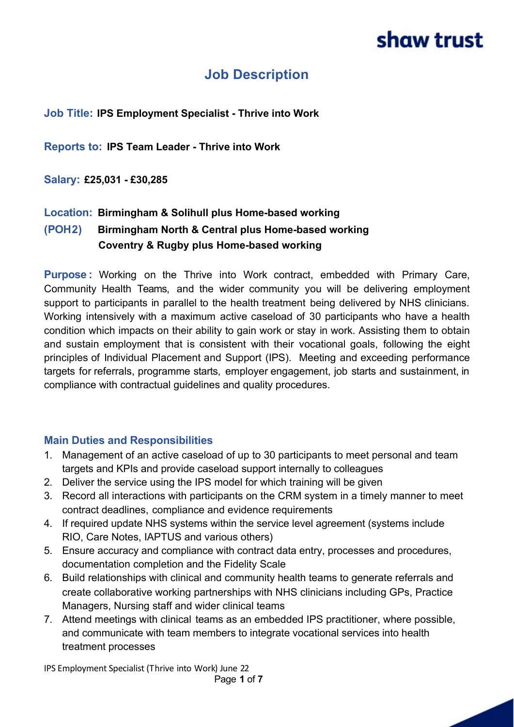### **Job Description**

#### **Job Title: IPS Employment Specialist - Thrive into Work**

**Reports to: IPS Team Leader - Thrive into Work**

**Salary: £25,031 - £30,285**

### **Location: Birmingham & Solihull plus Home-based working**

### **(POH2) Birmingham North & Central plus Home-based working Coventry & Rugby plus Home-based working**

**Purpose :** Working on the Thrive into Work contract, embedded with Primary Care, Community Health Teams, and the wider community you will be delivering employment support to participants in parallel to the health treatment being delivered by NHS clinicians. Working intensively with a maximum active caseload of 30 participants who have a health condition which impacts on their ability to gain work or stay in work. Assisting them to obtain and sustain employment that is consistent with their vocational goals, following the eight principles of Individual Placement and Support (IPS). Meeting and exceeding performance targets for referrals, programme starts, employer engagement, job starts and sustainment, in compliance with contractual guidelines and quality procedures.

#### **Main Duties and Responsibilities**

- 1. Management of an active caseload of up to 30 participants to meet personal and team targets and KPIs and provide caseload support internally to colleagues
- 2. Deliver the service using the IPS model for which training will be given
- 3. Record all interactions with participants on the CRM system in a timely manner to meet contract deadlines, compliance and evidence requirements
- 4. If required update NHS systems within the service level agreement (systems include RIO, Care Notes, IAPTUS and various others)
- 5. Ensure accuracy and compliance with contract data entry, processes and procedures, documentation completion and the Fidelity Scale
- 6. Build relationships with clinical and community health teams to generate referrals and create collaborative working partnerships with NHS clinicians including GPs, Practice Managers, Nursing staff and wider clinical teams
- 7. Attend meetings with clinical teams as an embedded IPS practitioner, where possible, and communicate with team members to integrate vocational services into health treatment processes

IPS Employment Specialist (Thrive into Work) June 22 Page **1** of **7**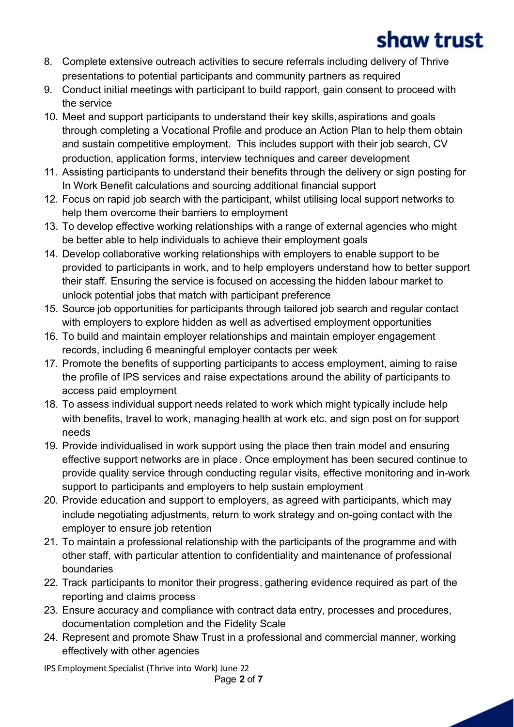- 8. Complete extensive outreach activities to secure referrals including delivery of Thrive presentations to potential participants and community partners as required
- 9. Conduct initial meetings with participant to build rapport, gain consent to proceed with the service
- 10. Meet and support participants to understand their key skills, aspirations and goals through completing a Vocational Profile and produce an Action Plan to help them obtain and sustain competitive employment. This includes support with their job search, CV production, application forms, interview techniques and career development
- 11. Assisting participants to understand their benefits through the delivery or sign posting for In Work Benefit calculations and sourcing additional financial support
- 12. Focus on rapid job search with the participant, whilst utilising local support networks to help them overcome their barriers to employment
- 13. To develop effective working relationships with a range of external agencies who might be better able to help individuals to achieve their employment goals
- 14. Develop collaborative working relationships with employers to enable support to be provided to participants in work, and to help employers understand how to better support their staff. Ensuring the service is focused on accessing the hidden labour market to unlock potential jobs that match with participant preference
- 15. Source job opportunities for participants through tailored job search and regular contact with employers to explore hidden as well as advertised employment opportunities
- 16. To build and maintain employer relationships and maintain employer engagement records, including 6 meaningful employer contacts per week
- 17. Promote the benefits of supporting participants to access employment, aiming to raise the profile of IPS services and raise expectations around the ability of participants to access paid employment
- 18. To assess individual support needs related to work which might typically include help with benefits, travel to work, managing health at work etc. and sign post on for support needs
- 19. Provide individualised in work support using the place then train model and ensuring effective support networks are in place. Once employment has been secured continue to provide quality service through conducting regular visits, effective monitoring and in-work support to participants and employers to help sustain employment
- 20. Provide education and support to employers, as agreed with participants, which may include negotiating adjustments, return to work strategy and on-going contact with the employer to ensure job retention
- 21. To maintain a professional relationship with the participants of the programme and with other staff, with particular attention to confidentiality and maintenance of professional boundaries
- 22. Track participants to monitor their progress, gathering evidence required as part of the reporting and claims process
- 23. Ensure accuracy and compliance with contract data entry, processes and procedures, documentation completion and the Fidelity Scale
- 24. Represent and promote Shaw Trust in a professional and commercial manner, working effectively with other agencies

IPS Employment Specialist (Thrive into Work) June 22

Page **2** of **7**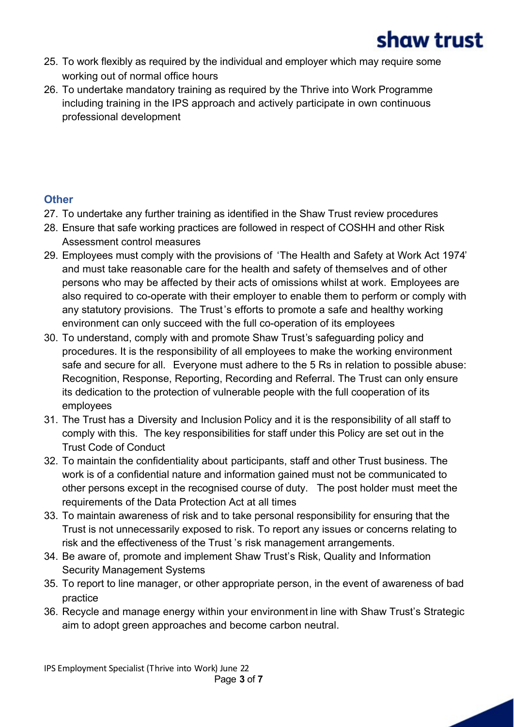

- 25. To work flexibly as required by the individual and employer which may require some working out of normal office hours
- 26. To undertake mandatory training as required by the Thrive into Work Programme including training in the IPS approach and actively participate in own continuous professional development

### **Other**

- 27. To undertake any further training as identified in the Shaw Trust review procedures
- 28. Ensure that safe working practices are followed in respect of COSHH and other Risk Assessment control measures
- 29. Employees must comply with the provisions of 'The Health and Safety at Work Act 1974' and must take reasonable care for the health and safety of themselves and of other persons who may be affected by their acts of omissions whilst at work. Employees are also required to co-operate with their employer to enable them to perform or comply with any statutory provisions. The Trust's efforts to promote a safe and healthy working environment can only succeed with the full co-operation of its employees
- 30. To understand, comply with and promote Shaw Trust's safeguarding policy and procedures. It is the responsibility of all employees to make the working environment safe and secure for all. Everyone must adhere to the 5 Rs in relation to possible abuse: Recognition, Response, Reporting, Recording and Referral. The Trust can only ensure its dedication to the protection of vulnerable people with the full cooperation of its employees
- 31. The Trust has a Diversity and Inclusion Policy and it is the responsibility of all staff to comply with this. The key responsibilities for staff under this Policy are set out in the Trust Code of Conduct
- 32. To maintain the confidentiality about participants, staff and other Trust business. The work is of a confidential nature and information gained must not be communicated to other persons except in the recognised course of duty. The post holder must meet the requirements of the Data Protection Act at all times
- 33. To maintain awareness of risk and to take personal responsibility for ensuring that the Trust is not unnecessarily exposed to risk. To report any issues or concerns relating to risk and the effectiveness of the Trust 's risk management arrangements.
- 34. Be aware of, promote and implement Shaw Trust's Risk, Quality and Information Security Management Systems
- 35. To report to line manager, or other appropriate person, in the event of awareness of bad practice
- 36. Recycle and manage energy within your environment in line with Shaw Trust's Strategic aim to adopt green approaches and become carbon neutral.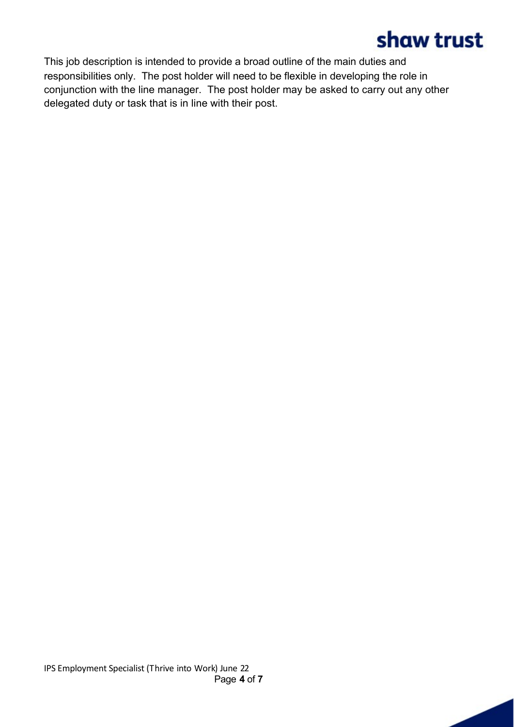This job description is intended to provide a broad outline of the main duties and responsibilities only. The post holder will need to be flexible in developing the role in conjunction with the line manager. The post holder may be asked to carry out any other delegated duty or task that is in line with their post.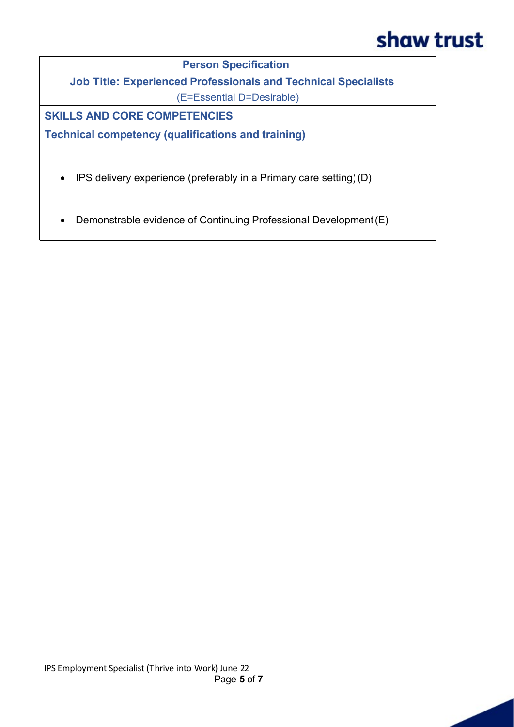**Person Specification**

**Job Title: Experienced Professionals and Technical Specialists**

(E=Essential D=Desirable)

**SKILLS AND CORE COMPETENCIES**

**Technical competency (qualifications and training)**

- · IPS delivery experience (preferably in a Primary care setting) (D)
- · Demonstrable evidence of Continuing Professional Development (E)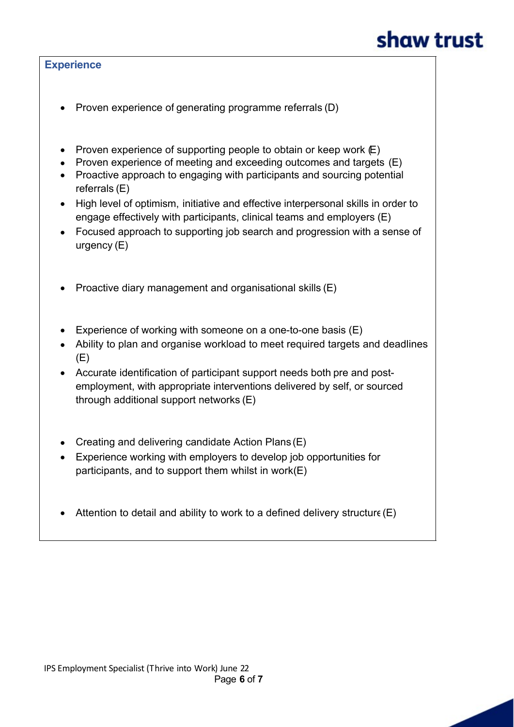#### **Experience**

- · Proven experience of generating programme referrals (D)
- Proven experience of supporting people to obtain or keep work  $\mathbb{E}$ )
- Proven experience of meeting and exceeding outcomes and targets (E)
- · Proactive approach to engaging with participants and sourcing potential referrals (E)
- · High level of optimism, initiative and effective interpersonal skills in order to engage effectively with participants, clinical teams and employers (E)
- Focused approach to supporting job search and progression with a sense of urgency (E)
- · Proactive diary management and organisational skills (E)
- Experience of working with someone on a one-to-one basis (E)
- Ability to plan and organise workload to meet required targets and deadlines (E)
- · Accurate identification of participant support needs both pre and postemployment, with appropriate interventions delivered by self, or sourced through additional support networks (E)
- Creating and delivering candidate Action Plans (E)
- · Experience working with employers to develop job opportunities for participants, and to support them whilst in work $(E)$
- Attention to detail and ability to work to a defined delivery structure (E)